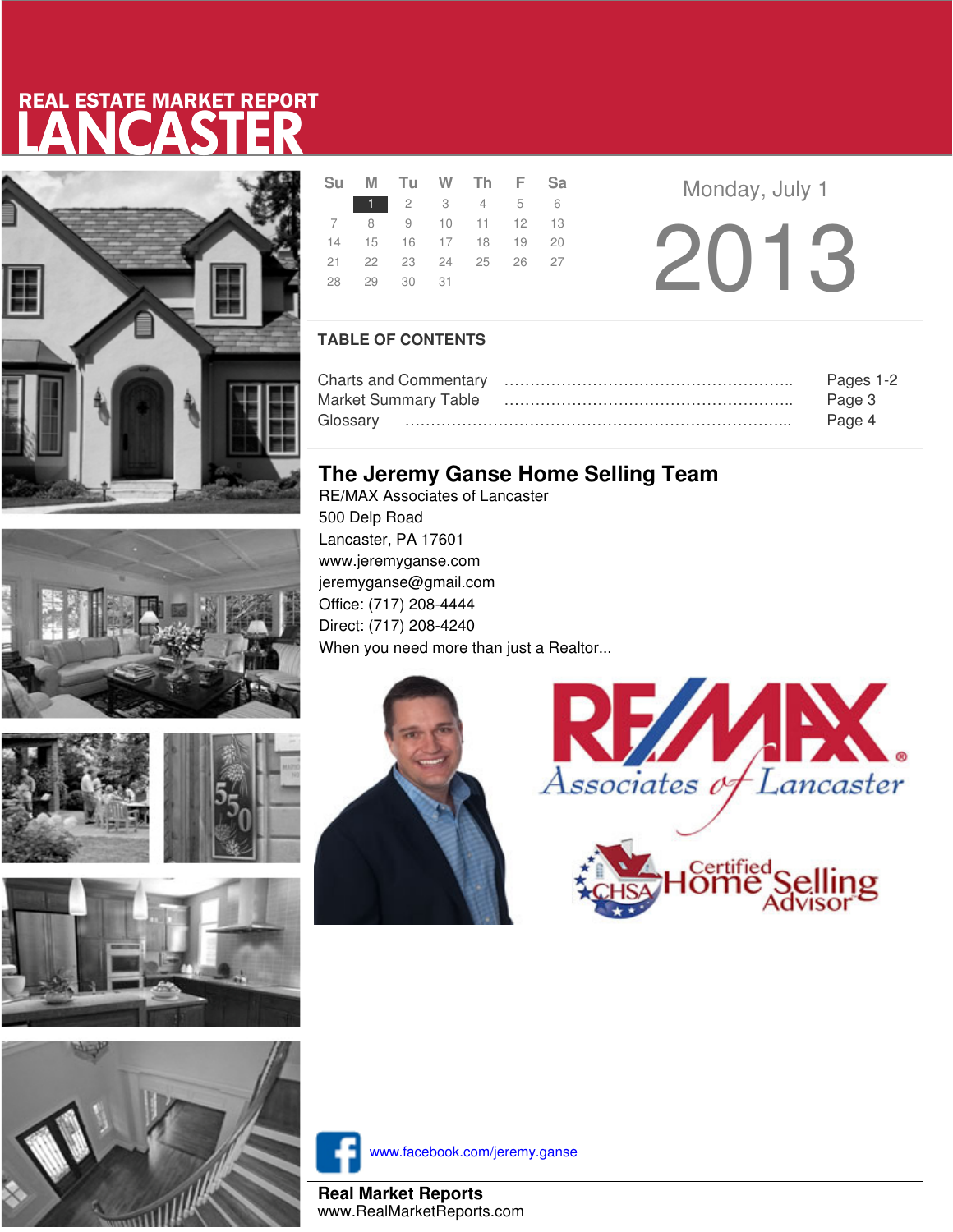# LANCASTER REAL ESTATE MARKET REPORT









|  |             | Su M Tu W Th F Sa          |  |  |  |
|--|-------------|----------------------------|--|--|--|
|  |             | 1 2 3 4 5 6                |  |  |  |
|  |             | 7 8 9 10 11 12 13          |  |  |  |
|  |             | 14  15  16  17  18  19  20 |  |  |  |
|  |             | 21  22  23  24  25  26  27 |  |  |  |
|  | 28 29 30 31 |                            |  |  |  |
|  |             |                            |  |  |  |

**Monday, July 1** 2013

### **TABLE OF CONTENTS**

| Pages 1-2 |
|-----------|
| Page 3    |
| Page 4    |

## **The Jeremy Ganse Home Selling Team**

RE/MAX Associates of Lancaster 500 Delp Road Lancaster, PA 17601 www.jeremyganse.com jeremyganse@gmail.com Office: (717) 208-4444 Direct: (717) 208-4240 When you need more than just a Realtor...







www.facebook.com/jeremy.ganse

**Real Market Reports** www.RealMarketReports.com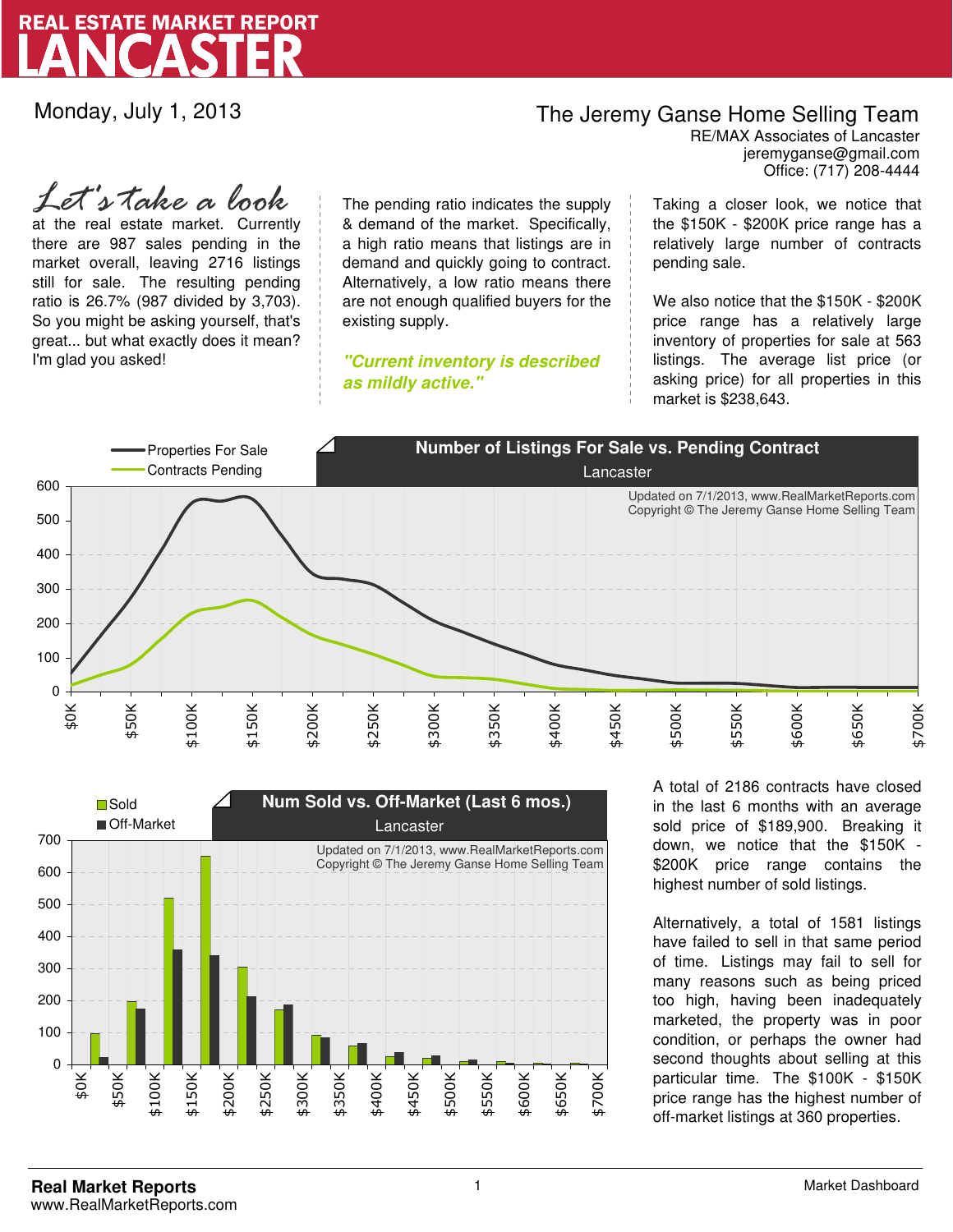

Monday, July 1, 2013

## The Jeremy Ganse Home Selling Team

jeremyganse@gmail.com RE/MAX Associates of Lancaster Office: (717) 208-4444

at the real estate market. Currently there are 987 sales pending in the market overall, leaving 2716 listings still for sale. The resulting pending ratio is 26.7% (987 divided by 3,703). So you might be asking yourself, that's great... but what exactly does it mean? I'm glad you asked! *Let's take a look*

The pending ratio indicates the supply & demand of the market. Specifically, a high ratio means that listings are in demand and quickly going to contract. Alternatively, a low ratio means there are not enough qualified buyers for the existing supply.

**"Current inventory is described as mildly active."**

Taking a closer look, we notice that the \$150K - \$200K price range has a relatively large number of contracts pending sale.

We also notice that the \$150K - \$200K price range has a relatively large inventory of properties for sale at 563 listings. The average list price (or asking price) for all properties in this market is \$238,643.





A total of 2186 contracts have closed in the last 6 months with an average sold price of \$189,900. Breaking it down, we notice that the \$150K - \$200K price range contains the highest number of sold listings.

Alternatively, a total of 1581 listings have failed to sell in that same period of time. Listings may fail to sell for many reasons such as being priced too high, having been inadequately marketed, the property was in poor condition, or perhaps the owner had second thoughts about selling at this particular time. The \$100K - \$150K price range has the highest number of off-market listings at 360 properties.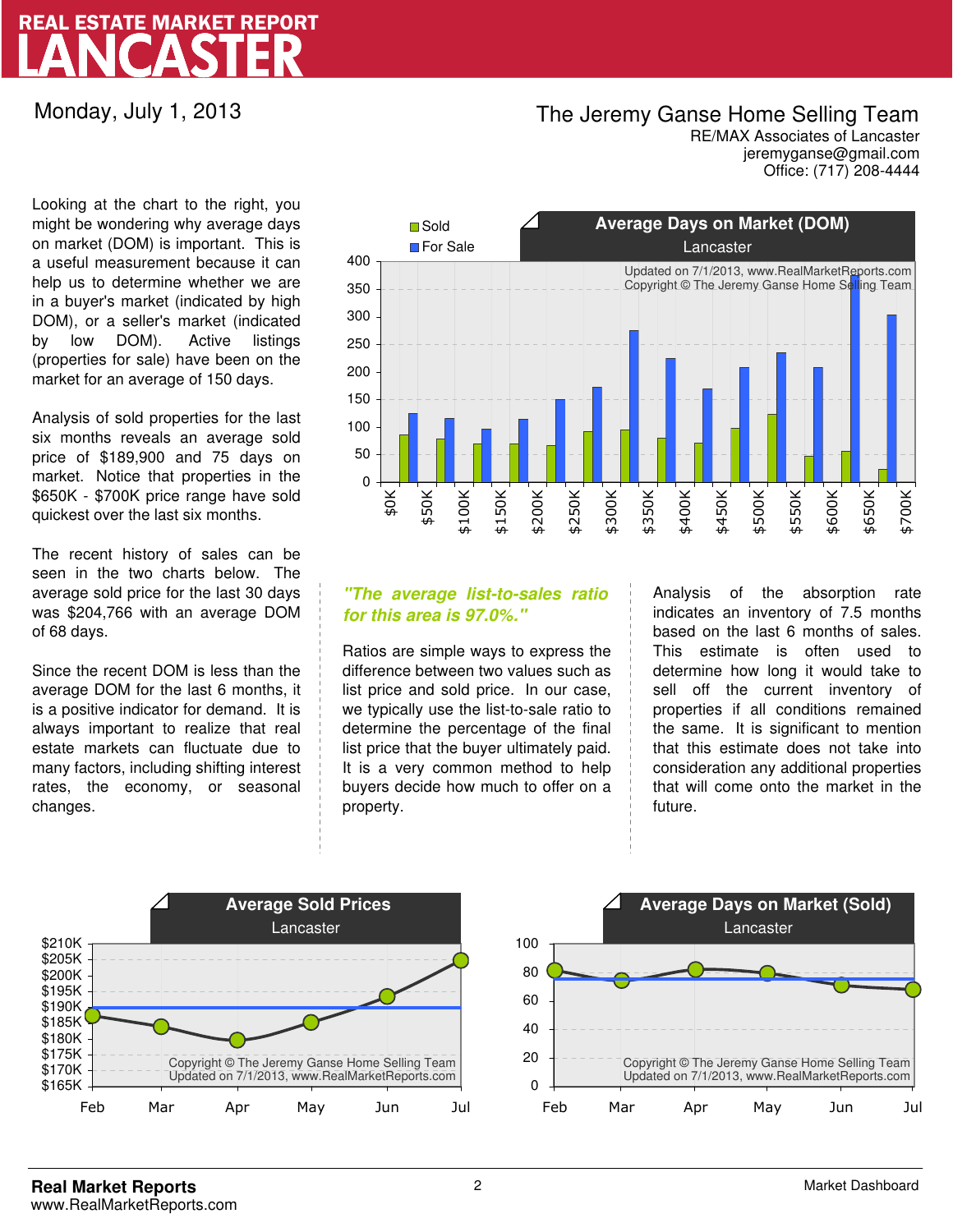# LANCASTER REAL ESTATE MARKET REPORT

Monday, July 1, 2013

### The Jeremy Ganse Home Selling Team

jeremyganse@gmail.com RE/MAX Associates of Lancaster Office: (717) 208-4444

Looking at the chart to the right, you might be wondering why average days on market (DOM) is important. This is a useful measurement because it can help us to determine whether we are in a buyer's market (indicated by high DOM), or a seller's market (indicated by low DOM). Active listings (properties for sale) have been on the market for an average of 150 days.

Analysis of sold properties for the last six months reveals an average sold price of \$189,900 and 75 days on market. Notice that properties in the \$650K - \$700K price range have sold quickest over the last six months.

The recent history of sales can be seen in the two charts below. The average sold price for the last 30 days was \$204,766 with an average DOM of 68 days.

Since the recent DOM is less than the average DOM for the last 6 months, it is a positive indicator for demand. It is always important to realize that real estate markets can fluctuate due to many factors, including shifting interest rates, the economy, or seasonal changes.



### **"The average list-to-sales ratio for this area is 97.0%."**

Ratios are simple ways to express the difference between two values such as list price and sold price. In our case, we typically use the list-to-sale ratio to determine the percentage of the final list price that the buyer ultimately paid. It is a very common method to help buyers decide how much to offer on a property.

Analysis of the absorption rate indicates an inventory of 7.5 months based on the last 6 months of sales. This estimate is often used to determine how long it would take to sell off the current inventory of properties if all conditions remained the same. It is significant to mention that this estimate does not take into consideration any additional properties that will come onto the market in the future.



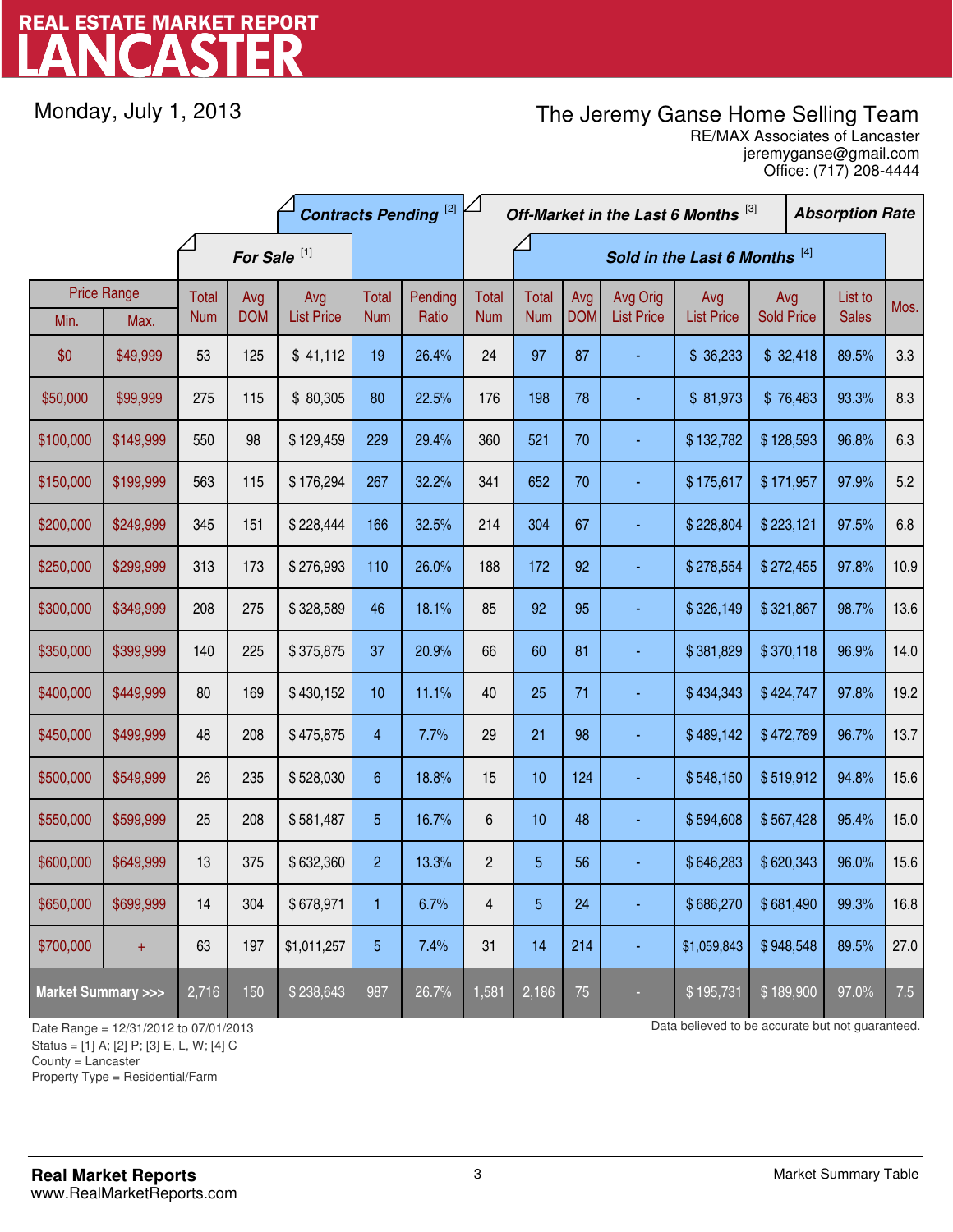# LANCASTER REAL ESTATE MARKET REPORT

Monday, July 1, 2013

## The Jeremy Ganse Home Selling Team

jeremyganse@gmail.com RE/MAX Associates of Lancaster Office: (717) 208-4444

|                                    |                            | <b>Contracts Pending [2]</b> |                         |                          |                     |                  | Off-Market in the Last 6 Months [3] |                               |                   |                               |                          |                          | <b>Absorption Rate</b> |                         |      |
|------------------------------------|----------------------------|------------------------------|-------------------------|--------------------------|---------------------|------------------|-------------------------------------|-------------------------------|-------------------|-------------------------------|--------------------------|--------------------------|------------------------|-------------------------|------|
|                                    |                            |                              | For Sale <sup>[1]</sup> |                          |                     |                  |                                     | Sold in the Last 6 Months [4] |                   |                               |                          |                          |                        |                         |      |
| Min.                               | <b>Price Range</b><br>Max. | Total<br><b>Num</b>          | Avg<br><b>DOM</b>       | Avg<br><b>List Price</b> | Total<br><b>Num</b> | Pending<br>Ratio | <b>Total</b><br><b>Num</b>          | Total<br><b>Num</b>           | Avg<br><b>DOM</b> | Avg Orig<br><b>List Price</b> | Avg<br><b>List Price</b> | Avg<br><b>Sold Price</b> |                        | List to<br><b>Sales</b> | Mos. |
| \$0                                | \$49,999                   | 53                           | 125                     | \$41,112                 | 19                  | 26.4%            | 24                                  | 97                            | 87                |                               | \$36,233                 | \$32,418                 |                        | 89.5%                   | 3.3  |
| \$50,000                           | \$99,999                   | 275                          | 115                     | \$80,305                 | 80                  | 22.5%            | 176                                 | 198                           | 78                |                               | \$81,973                 | \$76,483                 |                        | 93.3%                   | 8.3  |
| \$100,000                          | \$149,999                  | 550                          | 98                      | \$129,459                | 229                 | 29.4%            | 360                                 | 521                           | 70                |                               | \$132,782                | \$128,593                |                        | 96.8%                   | 6.3  |
| \$150,000                          | \$199,999                  | 563                          | 115                     | \$176,294                | 267                 | 32.2%            | 341                                 | 652                           | 70                |                               | \$175,617                | \$171,957                |                        | 97.9%                   | 5.2  |
| \$200,000                          | \$249,999                  | 345                          | 151                     | \$228,444                | 166                 | 32.5%            | 214                                 | 304                           | 67                |                               | \$228,804                | \$223,121                |                        | 97.5%                   | 6.8  |
| \$250,000                          | \$299,999                  | 313                          | 173                     | \$276,993                | 110                 | 26.0%            | 188                                 | 172                           | 92                |                               | \$278,554                | \$272,455                |                        | 97.8%                   | 10.9 |
| \$300,000                          | \$349,999                  | 208                          | 275                     | \$328,589                | 46                  | 18.1%            | 85                                  | 92                            | 95                |                               | \$326,149                | \$321,867                |                        | 98.7%                   | 13.6 |
| \$350,000                          | \$399,999                  | 140                          | 225                     | \$375,875                | 37                  | 20.9%            | 66                                  | 60                            | 81                |                               | \$381,829                | \$370,118                |                        | 96.9%                   | 14.0 |
| \$400,000                          | \$449,999                  | 80                           | 169                     | \$430,152                | 10                  | 11.1%            | 40                                  | 25                            | 71                |                               | \$434,343                | \$424,747                |                        | 97.8%                   | 19.2 |
| \$450,000                          | \$499,999                  | 48                           | 208                     | \$475,875                | $\overline{4}$      | 7.7%             | 29                                  | 21                            | 98                |                               | \$489,142                | \$472,789                |                        | 96.7%                   | 13.7 |
| \$500,000                          | \$549,999                  | 26                           | 235                     | \$528,030                | 6                   | 18.8%            | 15                                  | 10                            | 124               |                               | \$548,150                | \$519,912                |                        | 94.8%                   | 15.6 |
| \$550,000                          | \$599,999                  | 25                           | 208                     | \$581,487                | 5                   | 16.7%            | $\,6$                               | 10                            | 48                |                               | \$594,608                | \$567,428                |                        | 95.4%                   | 15.0 |
| \$600,000                          | \$649,999                  | 13                           | 375                     | \$632,360                | $\overline{c}$      | 13.3%            | $\overline{c}$                      | 5                             | 56                |                               | \$646,283                | \$620,343                |                        | 96.0%                   | 15.6 |
| \$650,000                          | \$699,999                  | 14                           | 304                     | \$678,971                | 1                   | 6.7%             | 4                                   | $\overline{5}$                | 24                |                               | \$686,270                | \$681,490                |                        | 99.3%                   | 16.8 |
| \$700,000                          | $\ddot{}$                  | 63                           | 197                     | \$1,011,257              | 5                   | 7.4%             | 31                                  | 14                            | 214               |                               | \$1,059,843              | \$948,548                |                        | 89.5%                   | 27.0 |
| <b>Market Summary &gt;&gt;&gt;</b> |                            | 2,716                        | 150                     | \$238,643                | 987                 | 26.7%            | 1,581                               | 2,186                         | 75                |                               | \$195,731                | \$189,900                |                        | 97.0%                   | 7.5  |

Status = [1] A; [2] P; [3] E, L, W; [4] C

County = Lancaster

1

Property Type = Residential/Farm

Date Range = 12/31/2012 to 07/01/2013 Data believed to be accurate but not guaranteed.